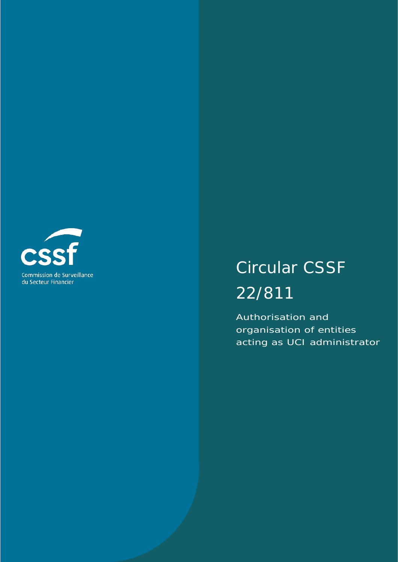

# Circular CSSF 22/811

Authorisation and organisation of entities acting as UCI administrator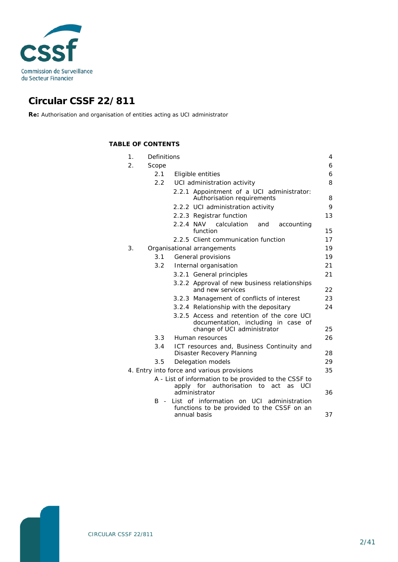

# **Circular CSSF 22/811**

**Re:** Authorisation and organisation of entities acting as UCI administrator

### **TABLE OF CONTENTS**

| 1. | Definitions     |                                                                                                                       | 4  |
|----|-----------------|-----------------------------------------------------------------------------------------------------------------------|----|
| 2. | Scope           |                                                                                                                       | 6  |
|    | 2.1             | Eligible entities                                                                                                     | 6  |
|    | $2.2 -$         | UCI administration activity                                                                                           | 8  |
|    |                 | 2.2.1 Appointment of a UCI administrator:<br>Authorisation requirements                                               | 8  |
|    |                 | 2.2.2 UCI administration activity                                                                                     | 9  |
|    |                 | 2.2.3 Registrar function                                                                                              | 13 |
|    |                 | 2.2.4 NAV calculation<br>accounting<br>and<br>function                                                                | 15 |
|    |                 | 2.2.5 Client communication function                                                                                   | 17 |
| 3. |                 | Organisational arrangements                                                                                           | 19 |
|    | 3.1             | General provisions                                                                                                    | 19 |
|    | 3.2             | Internal organisation                                                                                                 | 21 |
|    |                 | 3.2.1 General principles                                                                                              | 21 |
|    |                 | 3.2.2 Approval of new business relationships<br>and new services                                                      | 22 |
|    |                 | 3.2.3 Management of conflicts of interest                                                                             | 23 |
|    |                 | 3.2.4 Relationship with the depositary                                                                                | 24 |
|    |                 | 3.2.5 Access and retention of the core UCI<br>documentation, including in case of                                     |    |
|    |                 | change of UCI administrator                                                                                           | 25 |
|    | $3.3 -$         | Human resources                                                                                                       | 26 |
|    | 3.4             | ICT resources and, Business Continuity and<br>Disaster Recovery Planning                                              | 28 |
|    | 3.5             | Delegation models                                                                                                     | 29 |
|    |                 | 4. Entry into force and various provisions                                                                            | 35 |
|    |                 | A - List of information to be provided to the CSSF to<br>apply for authorisation to<br>act<br>as UCI<br>administrator | 36 |
|    | B<br>$\sim$ $-$ | List of information on UCI administration<br>functions to be provided to the CSSF on an<br>annual basis               | 37 |

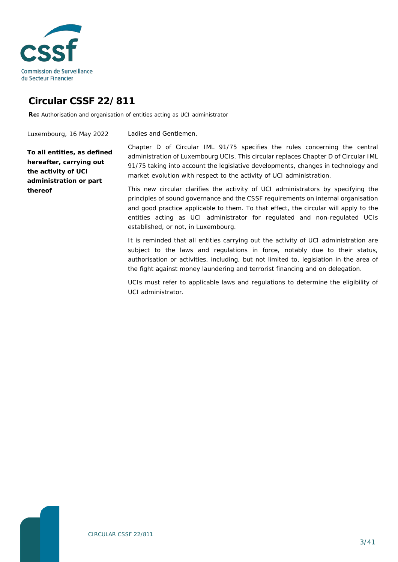

# **Circular CSSF 22/811**

**Re:** Authorisation and organisation of entities acting as UCI administrator

Luxembourg, 16 May 2022

Ladies and Gentlemen,

**To all entities, as defined hereafter, carrying out the activity of UCI administration or part thereof**

Chapter D of Circular IML 91/75 specifies the rules concerning the central administration of Luxembourg UCIs. This circular replaces Chapter D of Circular IML 91/75 taking into account the legislative developments, changes in technology and market evolution with respect to the activity of UCI administration.

This new circular clarifies the activity of UCI administrators by specifying the principles of sound governance and the CSSF requirements on internal organisation and good practice applicable to them. To that effect, the circular will apply to the entities acting as UCI administrator for regulated and non-regulated UCIs established, or not, in Luxembourg.

It is reminded that all entities carrying out the activity of UCI administration are subject to the laws and regulations in force, notably due to their status, authorisation or activities, including, but not limited to, legislation in the area of the fight against money laundering and terrorist financing and on delegation.

UCIs must refer to applicable laws and regulations to determine the eligibility of UCI administrator.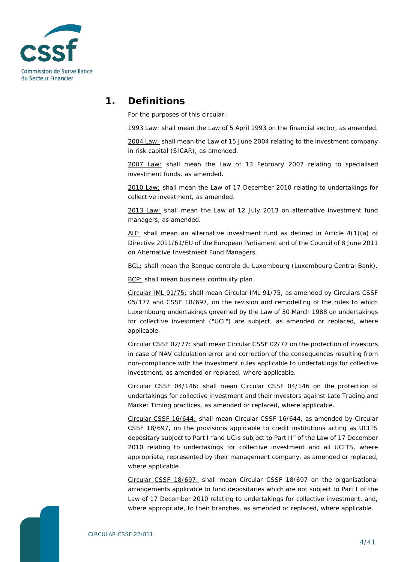

## **1. Definitions**

<span id="page-3-0"></span>For the purposes of this circular:

1993 Law: shall mean the Law of 5 April 1993 on the financial sector, as amended.

2004 Law: shall mean the Law of 15 June 2004 relating to the investment company in risk capital (SICAR), as amended.

2007 Law: shall mean the Law of 13 February 2007 relating to specialised investment funds, as amended.

2010 Law: shall mean the Law of 17 December 2010 relating to undertakings for collective investment, as amended.

2013 Law: shall mean the Law of 12 July 2013 on alternative investment fund managers, as amended.

AIF: shall mean an alternative investment fund as defined in Article 4(1)(a) of Directive 2011/61/EU of the European Parliament and of the Council of 8 June 2011 on Alternative Investment Fund Managers.

BCL: shall mean the Banque centrale du Luxembourg (Luxembourg Central Bank).

BCP: shall mean business continuity plan.

Circular IML 91/75: shall mean Circular IML 91/75, as amended by Circulars CSSF 05/177 and CSSF 18/697, on the revision and remodelling of the rules to which Luxembourg undertakings governed by the Law of 30 March 1988 on undertakings for collective investment ("UCI") are subject, as amended or replaced, where applicable.

Circular CSSF 02/77: shall mean Circular CSSF 02/77 on the protection of investors in case of NAV calculation error and correction of the consequences resulting from non-compliance with the investment rules applicable to undertakings for collective investment, as amended or replaced, where applicable.

Circular CSSF 04/146: shall mean Circular CSSF 04/146 on the protection of undertakings for collective investment and their investors against *Late Trading* and *Market Timing* practices, as amended or replaced, where applicable.

Circular CSSF 16/644: shall mean Circular CSSF 16/644, as amended by Circular CSSF 18/697, on the provisions applicable to credit institutions acting as UCITS depositary subject to Part I "and UCIs subject to Part II" of the Law of 17 December 2010 relating to undertakings for collective investment and all UCITS, where appropriate, represented by their management company, as amended or replaced, where applicable.

Circular CSSF 18/697: shall mean Circular CSSF 18/697 on the organisational arrangements applicable to fund depositaries which are not subject to Part I of the Law of 17 December 2010 relating to undertakings for collective investment, and, where appropriate, to their branches, as amended or replaced, where applicable.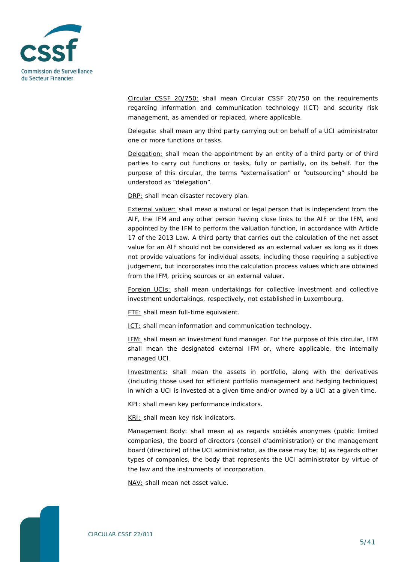

Circular CSSF 20/750: shall mean Circular CSSF 20/750 on the requirements regarding information and communication technology (ICT) and security risk management, as amended or replaced, where applicable.

Delegate: shall mean any third party carrying out on behalf of a UCI administrator one or more functions or tasks.

Delegation: shall mean the appointment by an entity of a third party or of third parties to carry out functions or tasks, fully or partially, on its behalf. For the purpose of this circular, the terms "externalisation" or "outsourcing" should be understood as "delegation".

DRP: shall mean disaster recovery plan.

External valuer: shall mean a natural or legal person that is independent from the AIF, the IFM and any other person having close links to the AIF or the IFM, and appointed by the IFM to perform the valuation function, in accordance with Article 17 of the 2013 Law. A third party that carries out the calculation of the net asset value for an AIF should not be considered as an external valuer as long as it does not provide valuations for individual assets, including those requiring a subjective judgement, but incorporates into the calculation process values which are obtained from the IFM, pricing sources or an external valuer.

Foreign UCIs: shall mean undertakings for collective investment and collective investment undertakings, respectively, not established in Luxembourg.

FTE: shall mean full-time equivalent.

ICT: shall mean information and communication technology.

IFM: shall mean an investment fund manager. For the purpose of this circular, IFM shall mean the designated external IFM or, where applicable, the internally managed UCI.

Investments: shall mean the assets in portfolio, along with the derivatives (including those used for efficient portfolio management and hedging techniques) in which a UCI is invested at a given time and/or owned by a UCI at a given time.

KPI: shall mean key performance indicators.

KRI: shall mean key risk indicators.

Management Body: shall mean a) as regards sociétés anonymes (public limited companies), the board of directors (*conseil d'administration*) or the management board (*directoire*) of the UCI administrator, as the case may be; b) as regards other types of companies, the body that represents the UCI administrator by virtue of the law and the instruments of incorporation.

NAV: shall mean net asset value.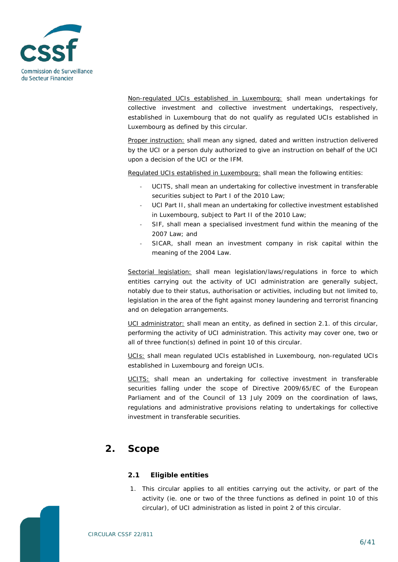

Non-regulated UCIs established in Luxembourg: shall mean undertakings for collective investment and collective investment undertakings, respectively, established in Luxembourg that do not qualify as regulated UCIs established in Luxembourg as defined by this circular.

Proper instruction: shall mean any signed, dated and written instruction delivered by the UCI or a person duly authorized to give an instruction on behalf of the UCI upon a decision of the UCI or the IFM.

Regulated UCIs established in Luxembourg: shall mean the following entities:

- UCITS, shall mean an undertaking for collective investment in transferable securities subject to Part I of the 2010 Law;
- UCI Part II, shall mean an undertaking for collective investment established in Luxembourg, subject to Part II of the 2010 Law;
- SIF, shall mean a specialised investment fund within the meaning of the 2007 Law; and
- SICAR, shall mean an investment company in risk capital within the meaning of the 2004 Law.

Sectorial legislation: shall mean legislation/laws/regulations in force to which entities carrying out the activity of UCI administration are generally subject, notably due to their status, authorisation or activities, including but not limited to, legislation in the area of the fight against money laundering and terrorist financing and on delegation arrangements.

UCI administrator: shall mean an entity, as defined in section 2.1. of this circular, performing the activity of UCI administration. This activity may cover one, two or all of three function(s) defined in point 10 of this circular.

UCIs: shall mean regulated UCIs established in Luxembourg, non-regulated UCIs established in Luxembourg and foreign UCIs.

UCITS: shall mean an undertaking for collective investment in transferable securities falling under the scope of Directive 2009/65/EC of the European Parliament and of the Council of 13 July 2009 on the coordination of laws, regulations and administrative provisions relating to undertakings for collective investment in transferable securities.

# <span id="page-5-0"></span>**2. Scope**

### <span id="page-5-1"></span>**2.1 Eligible entities**

1. This circular applies to all entities carrying out the activity, or part of the activity (ie. one or two of the three functions as defined in point 10 of this circular), of UCI administration as listed in point 2 of this circular.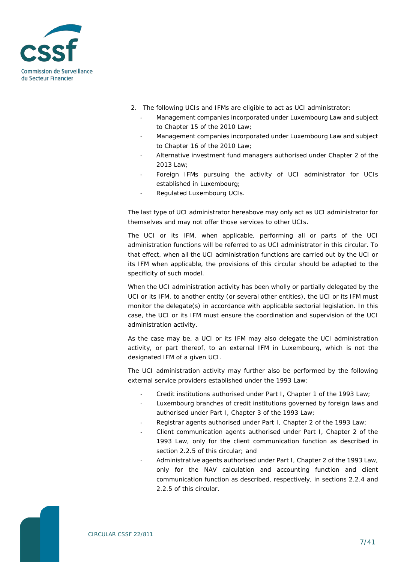

- 2. The following UCIs and IFMs are eligible to act as UCI administrator:
	- Management companies incorporated under Luxembourg Law and subject to Chapter 15 of the 2010 Law;
	- Management companies incorporated under Luxembourg Law and subject to Chapter 16 of the 2010 Law;
	- Alternative investment fund managers authorised under Chapter 2 of the 2013 Law;
	- Foreign IFMs pursuing the activity of UCI administrator for UCIs established in Luxembourg;
	- Regulated Luxembourg UCIs.

The last type of UCI administrator hereabove may only act as UCI administrator for themselves and may not offer those services to other UCIs.

The UCI or its IFM, when applicable, performing all or parts of the UCI administration functions will be referred to as UCI administrator in this circular. To that effect, when all the UCI administration functions are carried out by the UCI or its IFM when applicable, the provisions of this circular should be adapted to the specificity of such model.

When the UCI administration activity has been wholly or partially delegated by the UCI or its IFM, to another entity (or several other entities), the UCI or its IFM must monitor the delegate(s) in accordance with applicable sectorial legislation. In this case, the UCI or its IFM must ensure the coordination and supervision of the UCI administration activity.

As the case may be, a UCI or its IFM may also delegate the UCI administration activity, or part thereof, to an external IFM in Luxembourg, which is not the designated IFM of a given UCI.

The UCI administration activity may further also be performed by the following external service providers established under the 1993 Law:

- Credit institutions authorised under Part I, Chapter 1 of the 1993 Law;
- Luxembourg branches of credit institutions governed by foreign laws and authorised under Part I, Chapter 3 of the 1993 Law;
- Registrar agents authorised under Part I, Chapter 2 of the 1993 Law;
- Client communication agents authorised under Part I, Chapter 2 of the 1993 Law, only for the client communication function as described in section 2.2.5 of this circular; and
- Administrative agents authorised under Part I, Chapter 2 of the 1993 Law, only for the NAV calculation and accounting function and client communication function as described, respectively, in sections 2.2.4 and 2.2.5 of this circular.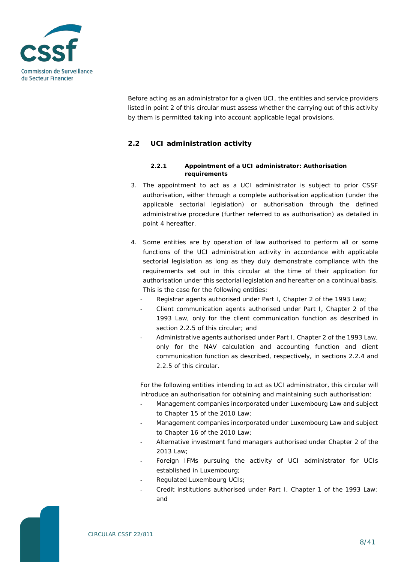

Before acting as an administrator for a given UCI, the entities and service providers listed in point 2 of this circular must assess whether the carrying out of this activity by them is permitted taking into account applicable legal provisions.

### <span id="page-7-1"></span><span id="page-7-0"></span>**2.2 UCI administration activity**

#### **2.2.1 Appointment of a UCI administrator: Authorisation requirements**

- 3. The appointment to act as a UCI administrator is subject to prior CSSF authorisation, either through a complete authorisation application (under the applicable sectorial legislation) or authorisation through the defined administrative procedure (further referred to as authorisation) as detailed in point 4 hereafter.
- 4. Some entities are by operation of law authorised to perform all or some functions of the UCI administration activity in accordance with applicable sectorial legislation as long as they duly demonstrate compliance with the requirements set out in this circular at the time of their application for authorisation under this sectorial legislation and hereafter on a continual basis. This is the case for the following entities:
	- Registrar agents authorised under Part I, Chapter 2 of the 1993 Law;
	- Client communication agents authorised under Part I, Chapter 2 of the 1993 Law, only for the client communication function as described in section 2.2.5 of this circular; and
	- Administrative agents authorised under Part I, Chapter 2 of the 1993 Law, only for the NAV calculation and accounting function and client communication function as described, respectively, in sections 2.2.4 and 2.2.5 of this circular.

For the following entities intending to act as UCI administrator, this circular will introduce an authorisation for obtaining and maintaining such authorisation:

- Management companies incorporated under Luxembourg Law and subject to Chapter 15 of the 2010 Law;
- Management companies incorporated under Luxembourg Law and subject to Chapter 16 of the 2010 Law;
- Alternative investment fund managers authorised under Chapter 2 of the 2013 Law;
- Foreign IFMs pursuing the activity of UCI administrator for UCIs established in Luxembourg;
- Regulated Luxembourg UCIs:
- Credit institutions authorised under Part I, Chapter 1 of the 1993 Law; and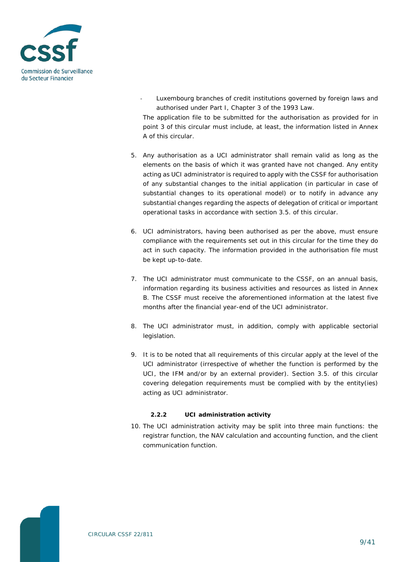

- Luxembourg branches of credit institutions governed by foreign laws and authorised under Part I, Chapter 3 of the 1993 Law. The application file to be submitted for the authorisation as provided for in point 3 of this circular must include, at least, the information listed in Annex
- 5. Any authorisation as a UCI administrator shall remain valid as long as the elements on the basis of which it was granted have not changed. Any entity acting as UCI administrator is required to apply with the CSSF for authorisation of any substantial changes to the initial application (in particular in case of substantial changes to its operational model) or to notify in advance any substantial changes regarding the aspects of delegation of critical or important operational tasks in accordance with section 3.5. of this circular.

A of this circular.

- 6. UCI administrators, having been authorised as per the above, must ensure compliance with the requirements set out in this circular for the time they do act in such capacity. The information provided in the authorisation file must be kept up-to-date.
- 7. The UCI administrator must communicate to the CSSF, on an annual basis, information regarding its business activities and resources as listed in Annex B. The CSSF must receive the aforementioned information at the latest five months after the financial year-end of the UCI administrator.
- 8. The UCI administrator must, in addition, comply with applicable sectorial legislation.
- 9. It is to be noted that all requirements of this circular apply at the level of the UCI administrator (irrespective of whether the function is performed by the UCI, the IFM and/or by an external provider). Section 3.5. of this circular covering delegation requirements must be complied with by the entity(ies) acting as UCI administrator.

#### **2.2.2 UCI administration activity**

<span id="page-8-0"></span>10. The UCI administration activity may be split into three main functions: the registrar function, the NAV calculation and accounting function, and the client communication function.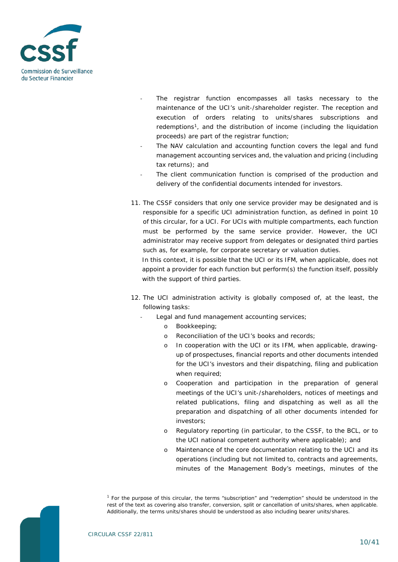

- The registrar function encompasses all tasks necessary to the maintenance of the UCI's unit-/shareholder register. The reception and execution of orders relating to units/shares subscriptions and redemptions<sup>1</sup>, and the distribution of income (including the liquidation proceeds) are part of the registrar function;
- The NAV calculation and accounting function covers the legal and fund management accounting services and, the valuation and pricing (including tax returns); and
- The client communication function is comprised of the production and delivery of the confidential documents intended for investors.
- 11. The CSSF considers that only one service provider may be designated and is responsible for a specific UCI administration function, as defined in point 10 of this circular, for a UCI. For UCIs with multiple compartments, each function must be performed by the same service provider. However, the UCI administrator may receive support from delegates or designated third parties such as, for example, for corporate secretary or valuation duties. In this context, it is possible that the UCI or its IFM, when applicable, does not appoint a provider for each function but perform(s) the function itself, possibly
- 12. The UCI administration activity is globally composed of, at the least, the following tasks:
	- Legal and fund management accounting services;
		- o Bookkeeping;

with the support of third parties.

- o Reconciliation of the UCI's books and records;
- o In cooperation with the UCI or its IFM, when applicable, drawingup of prospectuses, financial reports and other documents intended for the UCI's investors and their dispatching, filing and publication when required;
- o Cooperation and participation in the preparation of general meetings of the UCI's unit-/shareholders, notices of meetings and related publications, filing and dispatching as well as all the preparation and dispatching of all other documents intended for investors;
- o Regulatory reporting (in particular, to the CSSF, to the BCL, or to the UCI national competent authority where applicable); and
- o Maintenance of the core documentation relating to the UCI and its operations (including but not limited to, contracts and agreements, minutes of the Management Body's meetings, minutes of the

<span id="page-9-0"></span>*<sup>1</sup> For the purpose of this circular, the terms "subscription" and "redemption" should be understood in the*  rest of the text as covering also transfer, conversion, split or cancellation of units/shares, when applicable. *Additionally, the terms units/shares should be understood as also including bearer units/shares.*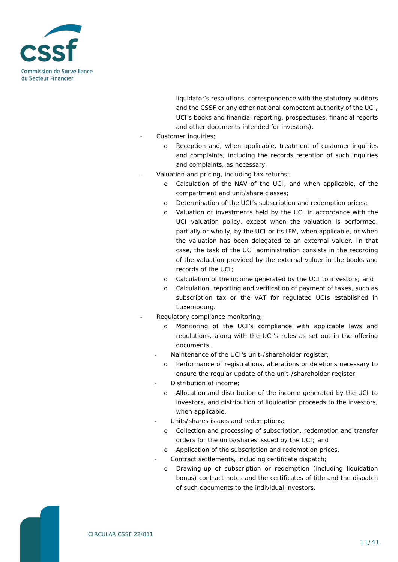

liquidator's resolutions, correspondence with the statutory auditors and the CSSF or any other national competent authority of the UCI, UCI's books and financial reporting, prospectuses, financial reports and other documents intended for investors).

- Customer inquiries;
	- o Reception and, when applicable, treatment of customer inquiries and complaints, including the records retention of such inquiries and complaints, as necessary.
- Valuation and pricing, including tax returns;
	- o Calculation of the NAV of the UCI, and when applicable, of the compartment and unit/share classes;
	- o Determination of the UCI's subscription and redemption prices;
	- o Valuation of investments held by the UCI in accordance with the UCI valuation policy, except when the valuation is performed, partially or wholly, by the UCI or its IFM, when applicable, or when the valuation has been delegated to an external valuer. In that case, the task of the UCI administration consists in the recording of the valuation provided by the external valuer in the books and records of the UCI;
	- o Calculation of the income generated by the UCI to investors; and
	- Calculation, reporting and verification of payment of taxes, such as subscription tax or the VAT for regulated UCIs established in Luxembourg.
- Regulatory compliance monitoring:
	- o Monitoring of the UCI's compliance with applicable laws and regulations, along with the UCI's rules as set out in the offering documents.
	- Maintenance of the UCI's unit-/shareholder register;
		- o Performance of registrations, alterations or deletions necessary to ensure the regular update of the unit-/shareholder register.
	- Distribution of income;
		- o Allocation and distribution of the income generated by the UCI to investors, and distribution of liquidation proceeds to the investors, when applicable.
	- Units/shares issues and redemptions;
		- o Collection and processing of subscription, redemption and transfer orders for the units/shares issued by the UCI; and
		- o Application of the subscription and redemption prices.
		- Contract settlements, including certificate dispatch;
		- o Drawing-up of subscription or redemption (including liquidation bonus) contract notes and the certificates of title and the dispatch of such documents to the individual investors.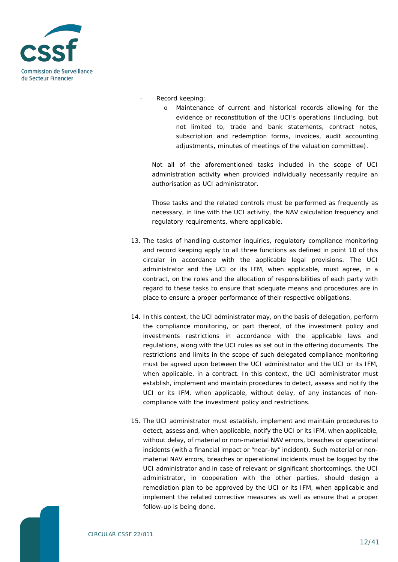

- Record keeping;
	- o Maintenance of current and historical records allowing for the evidence or reconstitution of the UCI's operations (including, but not limited to, trade and bank statements, contract notes, subscription and redemption forms, invoices, audit accounting adjustments, minutes of meetings of the valuation committee).

Not all of the aforementioned tasks included in the scope of UCI administration activity when provided individually necessarily require an authorisation as UCI administrator.

Those tasks and the related controls must be performed as frequently as necessary, in line with the UCI activity, the NAV calculation frequency and regulatory requirements, where applicable.

- 13. The tasks of handling customer inquiries, regulatory compliance monitoring and record keeping apply to all three functions as defined in point 10 of this circular in accordance with the applicable legal provisions. The UCI administrator and the UCI or its IFM, when applicable, must agree, in a contract, on the roles and the allocation of responsibilities of each party with regard to these tasks to ensure that adequate means and procedures are in place to ensure a proper performance of their respective obligations.
- 14. In this context, the UCI administrator may, on the basis of delegation, perform the compliance monitoring, or part thereof, of the investment policy and investments restrictions in accordance with the applicable laws and regulations, along with the UCI rules as set out in the offering documents. The restrictions and limits in the scope of such delegated compliance monitoring must be agreed upon between the UCI administrator and the UCI or its IFM, when applicable, in a contract. In this context, the UCI administrator must establish, implement and maintain procedures to detect, assess and notify the UCI or its IFM, when applicable, without delay, of any instances of noncompliance with the investment policy and restrictions.
- 15. The UCI administrator must establish, implement and maintain procedures to detect, assess and, when applicable, notify the UCI or its IFM, when applicable, without delay, of material or non-material NAV errors, breaches or operational incidents (with a financial impact or "near-by" incident). Such material or nonmaterial NAV errors, breaches or operational incidents must be logged by the UCI administrator and in case of relevant or significant shortcomings, the UCI administrator, in cooperation with the other parties, should design a remediation plan to be approved by the UCI or its IFM, when applicable and implement the related corrective measures as well as ensure that a proper follow-up is being done.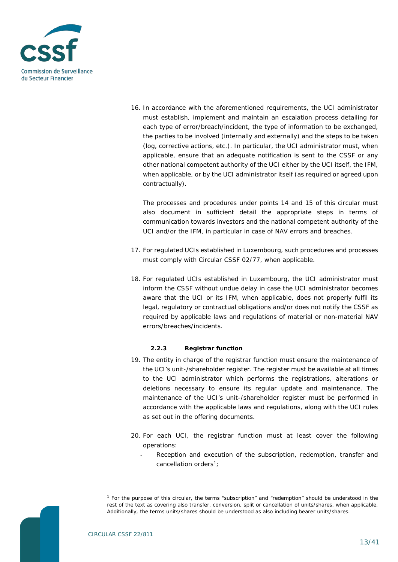

16. In accordance with the aforementioned requirements, the UCI administrator must establish, implement and maintain an escalation process detailing for each type of error/breach/incident, the type of information to be exchanged, the parties to be involved (internally and externally) and the steps to be taken (log, corrective actions, etc.). In particular, the UCI administrator must, when applicable, ensure that an adequate notification is sent to the CSSF or any other national competent authority of the UCI either by the UCI itself, the IFM, when applicable, or by the UCI administrator itself (as required or agreed upon contractually).

The processes and procedures under points 14 and 15 of this circular must also document in sufficient detail the appropriate steps in terms of communication towards investors and the national competent authority of the UCI and/or the IFM, in particular in case of NAV errors and breaches.

- 17. For regulated UCIs established in Luxembourg, such procedures and processes must comply with Circular CSSF 02/77, when applicable.
- 18. For regulated UCIs established in Luxembourg, the UCI administrator must inform the CSSF without undue delay in case the UCI administrator becomes aware that the UCI or its IFM, when applicable, does not properly fulfil its legal, regulatory or contractual obligations and/or does not notify the CSSF as required by applicable laws and regulations of material or non-material NAV errors/breaches/incidents.

#### **2.2.3 Registrar function**

- <span id="page-12-0"></span>19. The entity in charge of the registrar function must ensure the maintenance of the UCI's unit-/shareholder register. The register must be available at all times to the UCI administrator which performs the registrations, alterations or deletions necessary to ensure its regular update and maintenance. The maintenance of the UCI's unit-/shareholder register must be performed in accordance with the applicable laws and regulations, along with the UCI rules as set out in the offering documents.
- 20. For each UCI, the registrar function must at least cover the following operations:
	- Reception and execution of the subscription, redemption, transfer and cancellation orders<sup>1</sup>;

<span id="page-12-1"></span>*<sup>1</sup> For the purpose of this circular, the terms "subscription" and "redemption" should be understood in the rest of the text as covering also transfer, conversion, split or cancellation of units/shares, when applicable. Additionally, the terms units/shares should be understood as also including bearer units/shares.*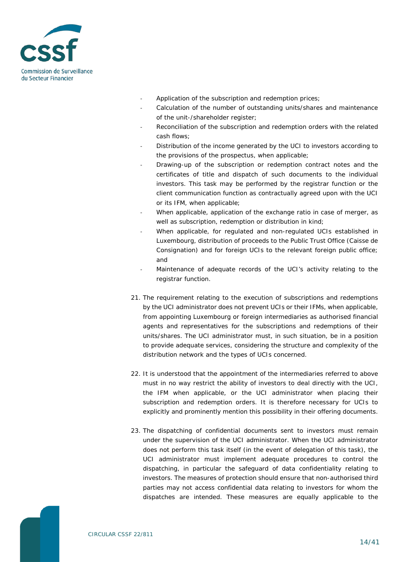

- Application of the subscription and redemption prices;
- Calculation of the number of outstanding units/shares and maintenance of the unit-/shareholder register;
- Reconciliation of the subscription and redemption orders with the related cash flows;
- Distribution of the income generated by the UCI to investors according to the provisions of the prospectus, when applicable;
- Drawing-up of the subscription or redemption contract notes and the certificates of title and dispatch of such documents to the individual investors. This task may be performed by the registrar function or the client communication function as contractually agreed upon with the UCI or its IFM, when applicable;
- When applicable, application of the exchange ratio in case of merger, as well as subscription, redemption or distribution in kind;
- When applicable, for regulated and non-regulated UCIs established in Luxembourg, distribution of proceeds to the Public Trust Office (Caisse de Consignation) and for foreign UCIs to the relevant foreign public office; and
- Maintenance of adequate records of the UCI's activity relating to the registrar function.
- 21. The requirement relating to the execution of subscriptions and redemptions by the UCI administrator does not prevent UCIs or their IFMs, when applicable, from appointing Luxembourg or foreign intermediaries as authorised financial agents and representatives for the subscriptions and redemptions of their units/shares. The UCI administrator must, in such situation, be in a position to provide adequate services, considering the structure and complexity of the distribution network and the types of UCIs concerned.
- 22. It is understood that the appointment of the intermediaries referred to above must in no way restrict the ability of investors to deal directly with the UCI, the IFM when applicable, or the UCI administrator when placing their subscription and redemption orders. It is therefore necessary for UCIs to explicitly and prominently mention this possibility in their offering documents.
- 23. The dispatching of confidential documents sent to investors must remain under the supervision of the UCI administrator. When the UCI administrator does not perform this task itself (in the event of delegation of this task), the UCI administrator must implement adequate procedures to control the dispatching, in particular the safeguard of data confidentiality relating to investors. The measures of protection should ensure that non-authorised third parties may not access confidential data relating to investors for whom the dispatches are intended. These measures are equally applicable to the

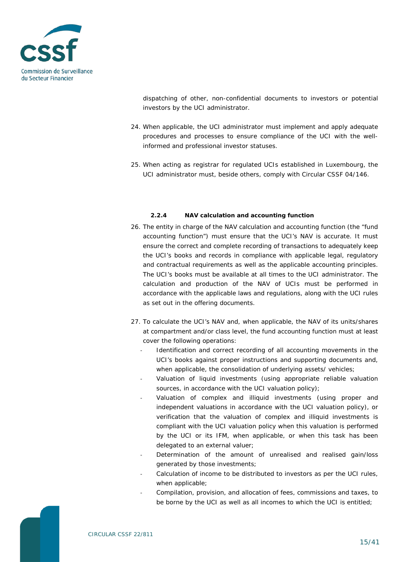

dispatching of other, non-confidential documents to investors or potential investors by the UCI administrator.

- 24. When applicable, the UCI administrator must implement and apply adequate procedures and processes to ensure compliance of the UCI with the wellinformed and professional investor statuses.
- 25. When acting as registrar for regulated UCIs established in Luxembourg, the UCI administrator must, beside others, comply with Circular CSSF 04/146.

#### **2.2.4 NAV calculation and accounting function**

- <span id="page-14-0"></span>26. The entity in charge of the NAV calculation and accounting function (the "fund accounting function") must ensure that the UCI's NAV is accurate. It must ensure the correct and complete recording of transactions to adequately keep the UCI's books and records in compliance with applicable legal, regulatory and contractual requirements as well as the applicable accounting principles. The UCI's books must be available at all times to the UCI administrator. The calculation and production of the NAV of UCIs must be performed in accordance with the applicable laws and regulations, along with the UCI rules as set out in the offering documents.
- 27. To calculate the UCI's NAV and, when applicable, the NAV of its units/shares at compartment and/or class level, the fund accounting function must at least cover the following operations:
	- Identification and correct recording of all accounting movements in the UCI's books against proper instructions and supporting documents and, when applicable, the consolidation of underlying assets/ vehicles;
	- Valuation of liquid investments (using appropriate reliable valuation sources, in accordance with the UCI valuation policy);
	- Valuation of complex and illiquid investments (using proper and independent valuations in accordance with the UCI valuation policy), or verification that the valuation of complex and illiquid investments is compliant with the UCI valuation policy when this valuation is performed by the UCI or its IFM, when applicable, or when this task has been delegated to an external valuer;
	- Determination of the amount of unrealised and realised gain/loss generated by those investments;
	- Calculation of income to be distributed to investors as per the UCI rules, when applicable;
	- Compilation, provision, and allocation of fees, commissions and taxes, to be borne by the UCI as well as all incomes to which the UCI is entitled;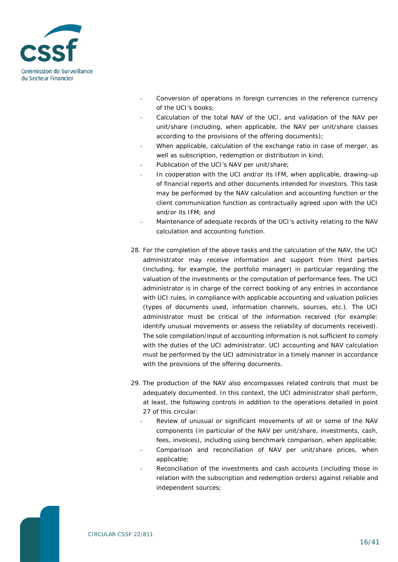

- Conversion of operations in foreign currencies in the reference currency of the UCI's books;
- Calculation of the total NAV of the UCI, and validation of the NAV per unit/share (including, when applicable, the NAV per unit/share classes according to the provisions of the offering documents);
- When applicable, calculation of the exchange ratio in case of merger, as well as subscription, redemption or distribution in kind;
- Publication of the UCI's NAV per unit/share;
- In cooperation with the UCI and/or its IFM, when applicable, drawing-up of financial reports and other documents intended for investors. This task may be performed by the NAV calculation and accounting function or the client communication function as contractually agreed upon with the UCI and/or its IFM; and
- Maintenance of adequate records of the UCI's activity relating to the NAV calculation and accounting function.
- 28. For the completion of the above tasks and the calculation of the NAV, the UCI administrator may receive information and support from third parties (including, for example, the portfolio manager) in particular regarding the valuation of the investments or the computation of performance fees. The UCI administrator is in charge of the correct booking of any entries in accordance with UCI rules, in compliance with applicable accounting and valuation policies (types of documents used, information channels, sources, etc.). The UCI administrator must be critical of the information received (for example: identify unusual movements or assess the reliability of documents received). The sole compilation/input of accounting information is not sufficient to comply with the duties of the UCI administrator. UCI accounting and NAV calculation must be performed by the UCI administrator in a timely manner in accordance with the provisions of the offering documents.
- 29. The production of the NAV also encompasses related controls that must be adequately documented. In this context, the UCI administrator shall perform, at least, the following controls in addition to the operations detailed in point 27 of this circular:
	- Review of unusual or significant movements of all or some of the NAV components (in particular of the NAV per unit/share, investments, cash, fees, invoices), including using benchmark comparison, when applicable;
	- Comparison and reconciliation of NAV per unit/share prices, when applicable;
	- Reconciliation of the investments and cash accounts (including those in relation with the subscription and redemption orders) against reliable and independent sources;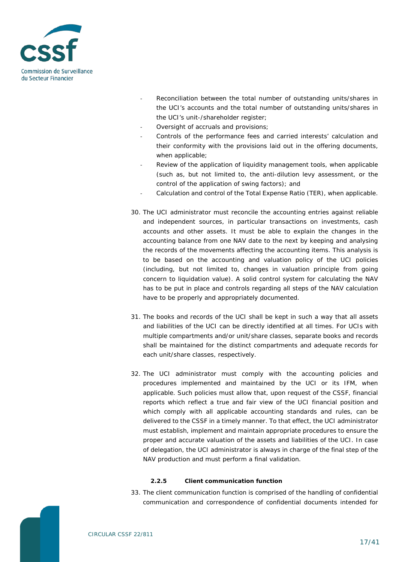

- Reconciliation between the total number of outstanding units/shares in the UCI's accounts and the total number of outstanding units/shares in the UCI's unit-/shareholder register;
- Oversight of accruals and provisions;
- Controls of the performance fees and carried interests' calculation and their conformity with the provisions laid out in the offering documents, when applicable;
- Review of the application of liquidity management tools, when applicable (such as, but not limited to, the anti-dilution levy assessment, or the control of the application of swing factors); and
- Calculation and control of the Total Expense Ratio (TER), when applicable.
- 30. The UCI administrator must reconcile the accounting entries against reliable and independent sources, in particular transactions on investments, cash accounts and other assets. It must be able to explain the changes in the accounting balance from one NAV date to the next by keeping and analysing the records of the movements affecting the accounting items. This analysis is to be based on the accounting and valuation policy of the UCI policies (including, but not limited to, changes in valuation principle from going concern to liquidation value). A solid control system for calculating the NAV has to be put in place and controls regarding all steps of the NAV calculation have to be properly and appropriately documented.
- 31. The books and records of the UCI shall be kept in such a way that all assets and liabilities of the UCI can be directly identified at all times. For UCIs with multiple compartments and/or unit/share classes, separate books and records shall be maintained for the distinct compartments and adequate records for each unit/share classes, respectively.
- 32. The UCI administrator must comply with the accounting policies and procedures implemented and maintained by the UCI or its IFM, when applicable. Such policies must allow that, upon request of the CSSF, financial reports which reflect a true and fair view of the UCI financial position and which comply with all applicable accounting standards and rules, can be delivered to the CSSF in a timely manner. To that effect, the UCI administrator must establish, implement and maintain appropriate procedures to ensure the proper and accurate valuation of the assets and liabilities of the UCI. In case of delegation, the UCI administrator is always in charge of the final step of the NAV production and must perform a final validation.

#### **2.2.5 Client communication function**

<span id="page-16-0"></span>33. The client communication function is comprised of the handling of confidential communication and correspondence of confidential documents intended for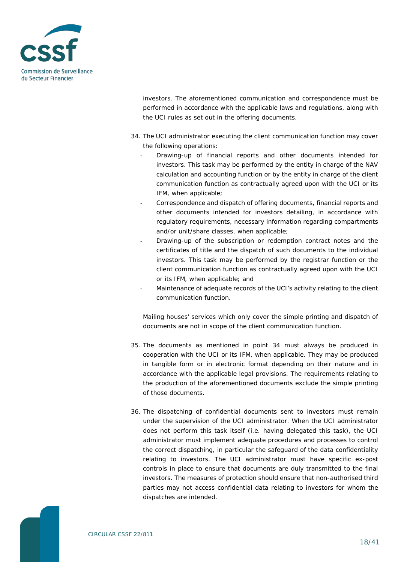

investors. The aforementioned communication and correspondence must be performed in accordance with the applicable laws and regulations, along with the UCI rules as set out in the offering documents.

- 34. The UCI administrator executing the client communication function may cover the following operations:
	- Drawing-up of financial reports and other documents intended for investors. This task may be performed by the entity in charge of the NAV calculation and accounting function or by the entity in charge of the client communication function as contractually agreed upon with the UCI or its IFM, when applicable;
	- Correspondence and dispatch of offering documents, financial reports and other documents intended for investors detailing, in accordance with regulatory requirements, necessary information regarding compartments and/or unit/share classes, when applicable;
	- Drawing-up of the subscription or redemption contract notes and the certificates of title and the dispatch of such documents to the individual investors. This task may be performed by the registrar function or the client communication function as contractually agreed upon with the UCI or its IFM, when applicable; and
	- Maintenance of adequate records of the UCI's activity relating to the client communication function.

Mailing houses' services which only cover the simple printing and dispatch of documents are not in scope of the client communication function.

- 35. The documents as mentioned in point 34 must always be produced in cooperation with the UCI or its IFM, when applicable. They may be produced in tangible form or in electronic format depending on their nature and in accordance with the applicable legal provisions. The requirements relating to the production of the aforementioned documents exclude the simple printing of those documents.
- 36. The dispatching of confidential documents sent to investors must remain under the supervision of the UCI administrator. When the UCI administrator does not perform this task itself (i.e. having delegated this task), the UCI administrator must implement adequate procedures and processes to control the correct dispatching, in particular the safeguard of the data confidentiality relating to investors. The UCI administrator must have specific ex-post controls in place to ensure that documents are duly transmitted to the final investors. The measures of protection should ensure that non-authorised third parties may not access confidential data relating to investors for whom the dispatches are intended.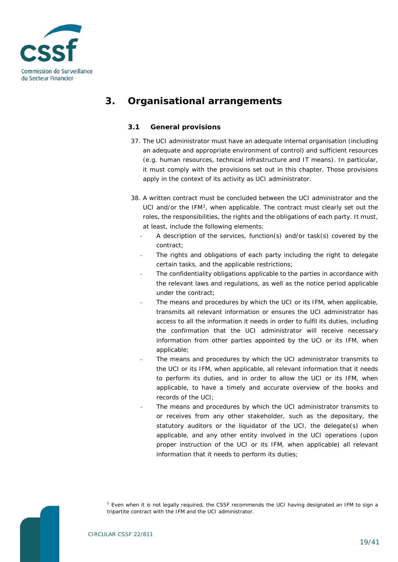

# <span id="page-18-0"></span>**3. Organisational arrangements**

### <span id="page-18-1"></span>**3.1 General provisions**

- 37. The UCI administrator must have an adequate internal organisation (including an adequate and appropriate environment of control) and sufficient resources (e.g. human resources, technical infrastructure and IT means). In particular, it must comply with the provisions set out in this chapter. Those provisions apply in the context of its activity as UCI administrator.
- 38. A written contract must be concluded between the UCI administrator and the UCI and/or the IFM<sup>[1](#page-18-2)</sup>, when applicable. The contract must clearly set out the roles, the responsibilities, the rights and the obligations of each party. It must, at least, include the following elements:
	- A description of the services, function(s) and/or task(s) covered by the contract;
	- The rights and obligations of each party including the right to delegate certain tasks, and the applicable restrictions;
	- The confidentiality obligations applicable to the parties in accordance with the relevant laws and regulations, as well as the notice period applicable under the contract;
	- The means and procedures by which the UCI or its IFM, when applicable, transmits all relevant information or ensures the UCI administrator has access to all the information it needs in order to fulfil its duties, including the confirmation that the UCI administrator will receive necessary information from other parties appointed by the UCI or its IFM, when applicable;
	- The means and procedures by which the UCI administrator transmits to the UCI or its IFM, when applicable, all relevant information that it needs to perform its duties, and in order to allow the UCI or its IFM, when applicable, to have a timely and accurate overview of the books and records of the UCI;
	- The means and procedures by which the UCI administrator transmits to or receives from any other stakeholder, such as the depositary, the statutory auditors or the liquidator of the UCI, the delegate(s) when applicable, and any other entity involved in the UCI operations (upon proper instruction of the UCI or its IFM, when applicable) all relevant information that it needs to perform its duties;

<span id="page-18-2"></span>*<sup>1</sup> Even when it is not legally required, the CSSF recommends the UCI having designated an IFM to sign a tripartite contract with the IFM and the UCI administrator.*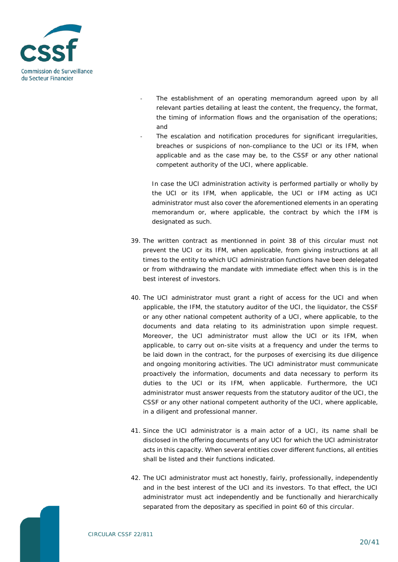

- The establishment of an operating memorandum agreed upon by all relevant parties detailing at least the content, the frequency, the format, the timing of information flows and the organisation of the operations; and
- The escalation and notification procedures for significant irregularities, breaches or suspicions of non-compliance to the UCI or its IFM, when applicable and as the case may be, to the CSSF or any other national competent authority of the UCI, where applicable.

In case the UCI administration activity is performed partially or wholly by the UCI or its IFM, when applicable, the UCI or IFM acting as UCI administrator must also cover the aforementioned elements in an operating memorandum or, where applicable, the contract by which the IFM is designated as such.

- 39. The written contract as mentionned in point 38 of this circular must not prevent the UCI or its IFM, when applicable, from giving instructions at all times to the entity to which UCI administration functions have been delegated or from withdrawing the mandate with immediate effect when this is in the best interest of investors.
- 40. The UCI administrator must grant a right of access for the UCI and when applicable, the IFM, the statutory auditor of the UCI, the liquidator, the CSSF or any other national competent authority of a UCI, where applicable, to the documents and data relating to its administration upon simple request. Moreover, the UCI administrator must allow the UCI or its IFM, when applicable, to carry out on-site visits at a frequency and under the terms to be laid down in the contract, for the purposes of exercising its due diligence and ongoing monitoring activities. The UCI administrator must communicate proactively the information, documents and data necessary to perform its duties to the UCI or its IFM, when applicable. Furthermore, the UCI administrator must answer requests from the statutory auditor of the UCI, the CSSF or any other national competent authority of the UCI, where applicable, in a diligent and professional manner.
- 41. Since the UCI administrator is a main actor of a UCI, its name shall be disclosed in the offering documents of any UCI for which the UCI administrator acts in this capacity. When several entities cover different functions, all entities shall be listed and their functions indicated.
- 42. The UCI administrator must act honestly, fairly, professionally, independently and in the best interest of the UCI and its investors. To that effect, the UCI administrator must act independently and be functionally and hierarchically separated from the depositary as specified in point 60 of this circular.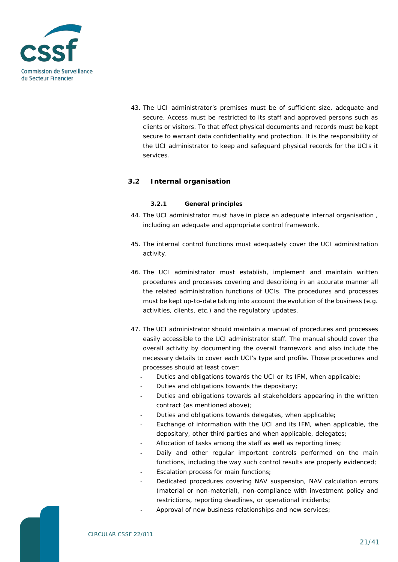

43. The UCI administrator's premises must be of sufficient size, adequate and secure. Access must be restricted to its staff and approved persons such as clients or visitors. To that effect physical documents and records must be kept secure to warrant data confidentiality and protection. It is the responsibility of the UCI administrator to keep and safeguard physical records for the UCIs it services.

#### <span id="page-20-1"></span><span id="page-20-0"></span>**3.2 Internal organisation**

#### **3.2.1 General principles**

- 44. The UCI administrator must have in place an adequate internal organisation , including an adequate and appropriate control framework.
- 45. The internal control functions must adequately cover the UCI administration activity.
- 46. The UCI administrator must establish, implement and maintain written procedures and processes covering and describing in an accurate manner all the related administration functions of UCIs. The procedures and processes must be kept up-to-date taking into account the evolution of the business (e.g. activities, clients, etc.) and the regulatory updates.
- 47. The UCI administrator should maintain a manual of procedures and processes easily accessible to the UCI administrator staff. The manual should cover the overall activity by documenting the overall framework and also include the necessary details to cover each UCI's type and profile. Those procedures and processes should at least cover:
	- Duties and obligations towards the UCI or its IFM, when applicable:
	- Duties and obligations towards the depositary:
	- Duties and obligations towards all stakeholders appearing in the written contract (as mentioned above);
	- Duties and obligations towards delegates, when applicable;
	- Exchange of information with the UCI and its IFM, when applicable, the depositary, other third parties and when applicable, delegates;
	- Allocation of tasks among the staff as well as reporting lines;
	- Daily and other regular important controls performed on the main functions, including the way such control results are properly evidenced;
	- Escalation process for main functions;
	- Dedicated procedures covering NAV suspension, NAV calculation errors (material or non-material), non-compliance with investment policy and restrictions, reporting deadlines, or operational incidents;
	- Approval of new business relationships and new services;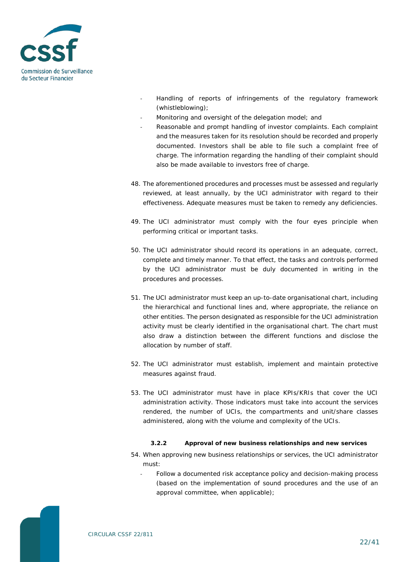

- Handling of reports of infringements of the regulatory framework (whistleblowing);
- Monitoring and oversight of the delegation model; and
- Reasonable and prompt handling of investor complaints. Each complaint and the measures taken for its resolution should be recorded and properly documented. Investors shall be able to file such a complaint free of charge. The information regarding the handling of their complaint should also be made available to investors free of charge.
- 48. The aforementioned procedures and processes must be assessed and regularly reviewed, at least annually, by the UCI administrator with regard to their effectiveness. Adequate measures must be taken to remedy any deficiencies.
- 49. The UCI administrator must comply with the four eyes principle when performing critical or important tasks.
- 50. The UCI administrator should record its operations in an adequate, correct, complete and timely manner. To that effect, the tasks and controls performed by the UCI administrator must be duly documented in writing in the procedures and processes.
- 51. The UCI administrator must keep an up-to-date organisational chart, including the hierarchical and functional lines and, where appropriate, the reliance on other entities. The person designated as responsible for the UCI administration activity must be clearly identified in the organisational chart. The chart must also draw a distinction between the different functions and disclose the allocation by number of staff.
- 52. The UCI administrator must establish, implement and maintain protective measures against fraud.
- 53. The UCI administrator must have in place KPIs/KRIs that cover the UCI administration activity. Those indicators must take into account the services rendered, the number of UCIs, the compartments and unit/share classes administered, along with the volume and complexity of the UCIs.

#### **3.2.2 Approval of new business relationships and new services**

- <span id="page-21-0"></span>54. When approving new business relationships or services, the UCI administrator must:
	- Follow a documented risk acceptance policy and decision-making process (based on the implementation of sound procedures and the use of an approval committee, when applicable);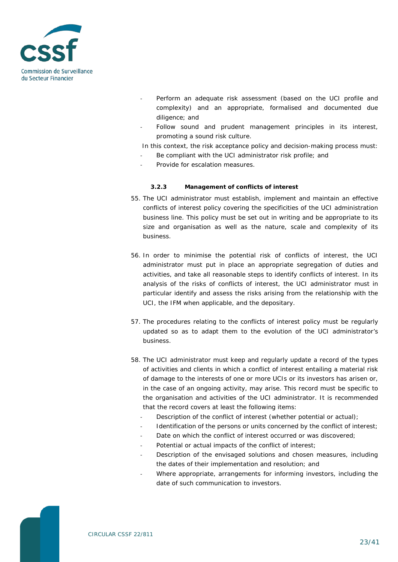

- Perform an adequate risk assessment (based on the UCI profile and complexity) and an appropriate, formalised and documented due diligence; and
- Follow sound and prudent management principles in its interest, promoting a sound risk culture.

In this context, the risk acceptance policy and decision-making process must:

- Be compliant with the UCI administrator risk profile; and
- Provide for escalation measures.

#### **3.2.3 Management of conflicts of interest**

- <span id="page-22-0"></span>55. The UCI administrator must establish, implement and maintain an effective conflicts of interest policy covering the specificities of the UCI administration business line. This policy must be set out in writing and be appropriate to its size and organisation as well as the nature, scale and complexity of its business.
- 56. In order to minimise the potential risk of conflicts of interest, the UCI administrator must put in place an appropriate segregation of duties and activities, and take all reasonable steps to identify conflicts of interest. In its analysis of the risks of conflicts of interest, the UCI administrator must in particular identify and assess the risks arising from the relationship with the UCI, the IFM when applicable, and the depositary.
- 57. The procedures relating to the conflicts of interest policy must be regularly updated so as to adapt them to the evolution of the UCI administrator's business.
- 58. The UCI administrator must keep and regularly update a record of the types of activities and clients in which a conflict of interest entailing a material risk of damage to the interests of one or more UCIs or its investors has arisen or, in the case of an ongoing activity, may arise. This record must be specific to the organisation and activities of the UCI administrator. It is recommended that the record covers at least the following items:
	- Description of the conflict of interest (whether potential or actual);
	- Identification of the persons or units concerned by the conflict of interest;
	- Date on which the conflict of interest occurred or was discovered:
	- Potential or actual impacts of the conflict of interest;
	- Description of the envisaged solutions and chosen measures, including the dates of their implementation and resolution; and
	- Where appropriate, arrangements for informing investors, including the date of such communication to investors.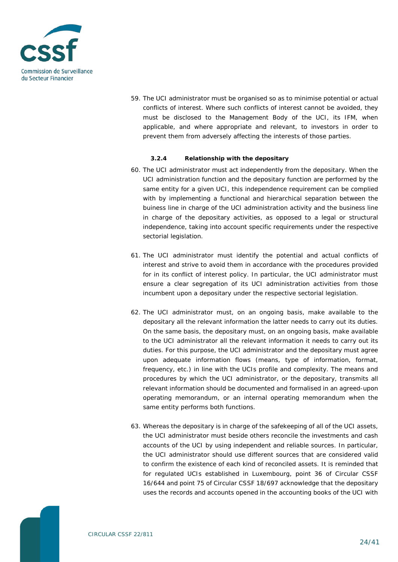

59. The UCI administrator must be organised so as to minimise potential or actual conflicts of interest. Where such conflicts of interest cannot be avoided, they must be disclosed to the Management Body of the UCI, its IFM, when applicable, and where appropriate and relevant, to investors in order to prevent them from adversely affecting the interests of those parties.

#### **3.2.4 Relationship with the depositary**

- <span id="page-23-0"></span>60. The UCI administrator must act independently from the depositary. When the UCI administration function and the depositary function are performed by the same entity for a given UCI, this independence requirement can be complied with by implementing a functional and hierarchical separation between the buiness line in charge of the UCI administration activity and the business line in charge of the depositary activities, as opposed to a legal or structural independence, taking into account specific requirements under the respective sectorial legislation.
- 61. The UCI administrator must identify the potential and actual conflicts of interest and strive to avoid them in accordance with the procedures provided for in its conflict of interest policy. In particular, the UCI administrator must ensure a clear segregation of its UCI administration activities from those incumbent upon a depositary under the respective sectorial legislation.
- 62. The UCI administrator must, on an ongoing basis, make available to the depositary all the relevant information the latter needs to carry out its duties. On the same basis, the depositary must, on an ongoing basis, make available to the UCI administrator all the relevant information it needs to carry out its duties. For this purpose, the UCI administrator and the depositary must agree upon adequate information flows (means, type of information, format, frequency, etc.) in line with the UCIs profile and complexity. The means and procedures by which the UCI administrator, or the depositary, transmits all relevant information should be documented and formalised in an agreed-upon operating memorandum, or an internal operating memorandum when the same entity performs both functions.
- 63. Whereas the depositary is in charge of the safekeeping of all of the UCI assets, the UCI administrator must beside others reconcile the investments and cash accounts of the UCI by using independent and reliable sources. In particular, the UCI administrator should use different sources that are considered valid to confirm the existence of each kind of reconciled assets. It is reminded that for regulated UCIs established in Luxembourg, point 36 of Circular CSSF 16/644 and point 75 of Circular CSSF 18/697 acknowledge that the depositary uses the records and accounts opened in the accounting books of the UCI with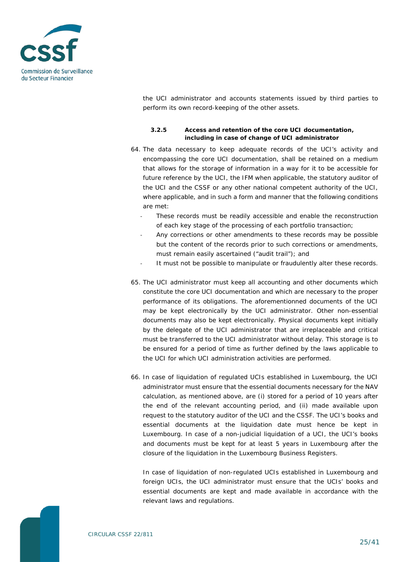

the UCI administrator and accounts statements issued by third parties to perform its own record-keeping of the other assets.

#### **3.2.5 Access and retention of the core UCI documentation, including in case of change of UCI administrator**

- <span id="page-24-0"></span>64. The data necessary to keep adequate records of the UCI's activity and encompassing the core UCI documentation, shall be retained on a medium that allows for the storage of information in a way for it to be accessible for future reference by the UCI, the IFM when applicable, the statutory auditor of the UCI and the CSSF or any other national competent authority of the UCI, where applicable, and in such a form and manner that the following conditions are met:
	- These records must be readily accessible and enable the reconstruction of each key stage of the processing of each portfolio transaction;
	- Any corrections or other amendments to these records may be possible but the content of the records prior to such corrections or amendments, must remain easily ascertained ("audit trail"); and
	- It must not be possible to manipulate or fraudulently alter these records.
- 65. The UCI administrator must keep all accounting and other documents which constitute the core UCI documentation and which are necessary to the proper performance of its obligations. The aforementionned documents of the UCI may be kept electronically by the UCI administrator. Other non-essential documents may also be kept electronically. Physical documents kept initially by the delegate of the UCI administrator that are irreplaceable and critical must be transferred to the UCI administrator without delay. This storage is to be ensured for a period of time as further defined by the laws applicable to the UCI for which UCI administration activities are performed.
- 66. In case of liquidation of regulated UCIs established in Luxembourg, the UCI administrator must ensure that the essential documents necessary for the NAV calculation, as mentioned above, are (i) stored for a period of 10 years after the end of the relevant accounting period, and (ii) made available upon request to the statutory auditor of the UCI and the CSSF. The UCI's books and essential documents at the liquidation date must hence be kept in Luxembourg. In case of a non-judicial liquidation of a UCI, the UCI's books and documents must be kept for at least 5 years in Luxembourg after the closure of the liquidation in the Luxembourg Business Registers.

In case of liquidation of non-regulated UCIs established in Luxembourg and foreign UCIs, the UCI administrator must ensure that the UCIs' books and essential documents are kept and made available in accordance with the relevant laws and regulations.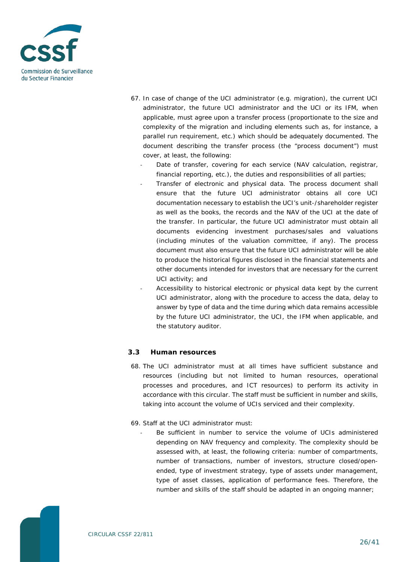

- 67. In case of change of the UCI administrator (e.g. migration), the current UCI administrator, the future UCI administrator and the UCI or its IFM, when applicable, must agree upon a transfer process (proportionate to the size and complexity of the migration and including elements such as, for instance, a parallel run requirement, etc.) which should be adequately documented. The document describing the transfer process (the "process document") must cover, at least, the following:
	- Date of transfer, covering for each service (NAV calculation, registrar, financial reporting, etc.), the duties and responsibilities of all parties;
		- Transfer of electronic and physical data. The process document shall ensure that the future UCI administrator obtains all core UCI documentation necessary to establish the UCI's unit-/shareholder register as well as the books, the records and the NAV of the UCI at the date of the transfer. In particular, the future UCI administrator must obtain all documents evidencing investment purchases/sales and valuations (including minutes of the valuation committee, if any). The process document must also ensure that the future UCI administrator will be able to produce the historical figures disclosed in the financial statements and other documents intended for investors that are necessary for the current UCI activity; and
		- Accessibility to historical electronic or physical data kept by the current UCI administrator, along with the procedure to access the data, delay to answer by type of data and the time during which data remains accessible by the future UCI administrator, the UCI, the IFM when applicable, and the statutory auditor.

#### <span id="page-25-0"></span>**3.3 Human resources**

68. The UCI administrator must at all times have sufficient substance and resources (including but not limited to human resources, operational processes and procedures, and ICT resources) to perform its activity in accordance with this circular. The staff must be sufficient in number and skills, taking into account the volume of UCIs serviced and their complexity.

#### 69. Staff at the UCI administrator must:

Be sufficient in number to service the volume of UCIs administered depending on NAV frequency and complexity. The complexity should be assessed with, at least, the following criteria: number of compartments, number of transactions, number of investors, structure closed/openended, type of investment strategy, type of assets under management, type of asset classes, application of performance fees. Therefore, the number and skills of the staff should be adapted in an ongoing manner;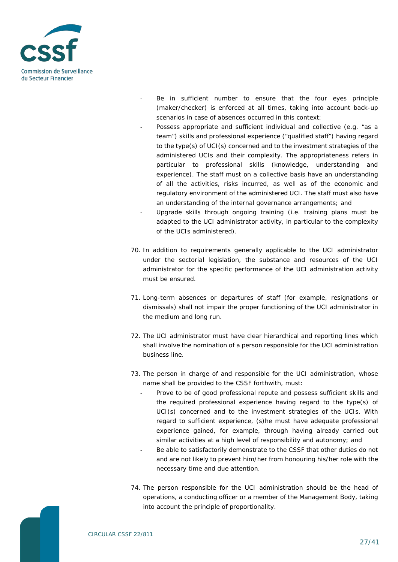

- Be in sufficient number to ensure that the four eyes principle (maker/checker) is enforced at all times, taking into account back-up scenarios in case of absences occurred in this context;
- Possess appropriate and sufficient individual and collective (e.g. "as a team") skills and professional experience ("qualified staff") having regard to the type(s) of UCI(s) concerned and to the investment strategies of the administered UCIs and their complexity. The appropriateness refers in particular to professional skills (knowledge, understanding and experience). The staff must on a collective basis have an understanding of all the activities, risks incurred, as well as of the economic and regulatory environment of the administered UCI. The staff must also have an understanding of the internal governance arrangements; and
- Upgrade skills through ongoing training (i.e. training plans must be adapted to the UCI administrator activity, in particular to the complexity of the UCIs administered).
- 70. In addition to requirements generally applicable to the UCI administrator under the sectorial legislation, the substance and resources of the UCI administrator for the specific performance of the UCI administration activity must be ensured.
- 71. Long-term absences or departures of staff (for example, resignations or dismissals) shall not impair the proper functioning of the UCI administrator in the medium and long run.
- 72. The UCI administrator must have clear hierarchical and reporting lines which shall involve the nomination of a person responsible for the UCI administration business line.
- 73. The person in charge of and responsible for the UCI administration, whose name shall be provided to the CSSF forthwith, must:
	- Prove to be of good professional repute and possess sufficient skills and the required professional experience having regard to the type(s) of UCI(s) concerned and to the investment strategies of the UCIs. With regard to sufficient experience, (s)he must have adequate professional experience gained, for example, through having already carried out similar activities at a high level of responsibility and autonomy; and
	- Be able to satisfactorily demonstrate to the CSSF that other duties do not and are not likely to prevent him/her from honouring his/her role with the necessary time and due attention.
- 74. The person responsible for the UCI administration should be the head of operations, a conducting officer or a member of the Management Body, taking into account the principle of proportionality.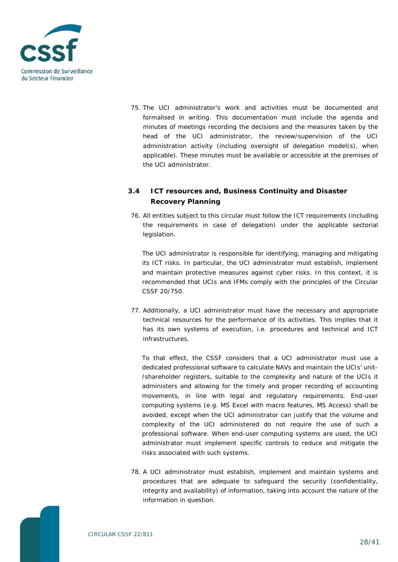

75. The UCI administrator's work and activities must be documented and formalised in writing. This documentation must include the agenda and minutes of meetings recording the decisions and the measures taken by the head of the UCI administrator, the review/supervision of the UCI administration activity (including oversight of delegation model(s), when applicable). These minutes must be available or accessible at the premises of the UCI administrator.

### <span id="page-27-0"></span>**3.4 ICT resources and, Business Continuity and Disaster Recovery Planning**

76. All entities subject to this circular must follow the ICT requirements (including the requirements in case of delegation) under the applicable sectorial legislation.

The UCI administrator is responsible for identifying, managing and mitigating its ICT risks. In particular, the UCI administrator must establish, implement and maintain protective measures against cyber risks. In this context, it is recommended that UCIs and IFMs comply with the principles of the Circular CSSF 20/750.

77. Additionally, a UCI administrator must have the necessary and appropriate technical resources for the performance of its activities. This implies that it has its own systems of execution, i.e. procedures and technical and ICT infrastructures.

To that effect, the CSSF considers that a UCI administrator must use a dedicated professional software to calculate NAVs and maintain the UCIs' unit- /shareholder registers, suitable to the complexity and nature of the UCIs it administers and allowing for the timely and proper recording of accounting movements, in line with legal and regulatory requirements. End-user computing systems (e.g. MS Excel with macro features, MS Access) shall be avoided, except when the UCI administrator can justify that the volume and complexity of the UCI administered do not require the use of such a professional software. When end-user computing systems are used, the UCI administrator must implement specific controls to reduce and mitigate the risks associated with such systems.

78. A UCI administrator must establish, implement and maintain systems and procedures that are adequate to safeguard the security (confidentiality, integrity and availability) of information, taking into account the nature of the information in question.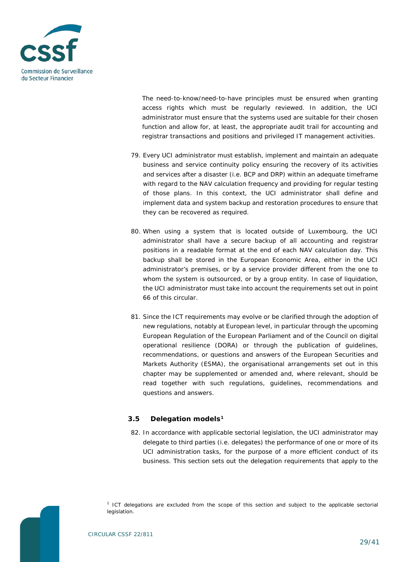

The need-to-know/need-to-have principles must be ensured when granting access rights which must be regularly reviewed. In addition, the UCI administrator must ensure that the systems used are suitable for their chosen function and allow for, at least, the appropriate audit trail for accounting and registrar transactions and positions and privileged IT management activities.

- 79. Every UCI administrator must establish, implement and maintain an adequate business and service continuity policy ensuring the recovery of its activities and services after a disaster (i.e. BCP and DRP) within an adequate timeframe with regard to the NAV calculation frequency and providing for regular testing of those plans. In this context, the UCI administrator shall define and implement data and system backup and restoration procedures to ensure that they can be recovered as required.
- 80. When using a system that is located outside of Luxembourg, the UCI administrator shall have a secure backup of all accounting and registrar positions in a readable format at the end of each NAV calculation day. This backup shall be stored in the European Economic Area, either in the UCI administrator's premises, or by a service provider different from the one to whom the system is outsourced, or by a group entity. In case of liquidation, the UCI administrator must take into account the requirements set out in point 66 of this circular.
- 81. Since the ICT requirements may evolve or be clarified through the adoption of new regulations, notably at European level, in particular through the upcoming European Regulation of the European Parliament and of the Council on digital operational resilience (DORA) or through the publication of guidelines, recommendations, or questions and answers of the European Securities and Markets Authority (ESMA), the organisational arrangements set out in this chapter may be supplemented or amended and, where relevant, should be read together with such regulations, guidelines, recommendations and questions and answers.

#### <span id="page-28-0"></span>**3.5 Delegation models[1](#page-28-1)**

82. In accordance with applicable sectorial legislation, the UCI administrator may delegate to third parties (i.e. delegates) the performance of one or more of its UCI administration tasks, for the purpose of a more efficient conduct of its business. This section sets out the delegation requirements that apply to the

<span id="page-28-1"></span>

*<sup>1</sup> ICT delegations are excluded from the scope of this section and subject to the applicable sectorial legislation.*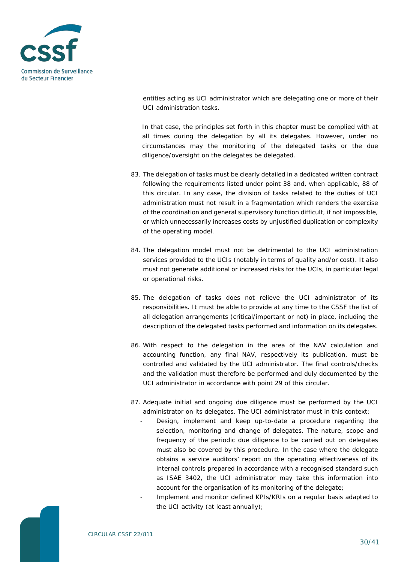

entities acting as UCI administrator which are delegating one or more of their UCI administration tasks.

In that case, the principles set forth in this chapter must be complied with at all times during the delegation by all its delegates. However, under no circumstances may the monitoring of the delegated tasks or the due diligence/oversight on the delegates be delegated.

- 83. The delegation of tasks must be clearly detailed in a dedicated written contract following the requirements listed under point 38 and, when applicable, 88 of this circular. In any case, the division of tasks related to the duties of UCI administration must not result in a fragmentation which renders the exercise of the coordination and general supervisory function difficult, if not impossible, or which unnecessarily increases costs by unjustified duplication or complexity of the operating model.
- 84. The delegation model must not be detrimental to the UCI administration services provided to the UCIs (notably in terms of quality and/or cost). It also must not generate additional or increased risks for the UCIs, in particular legal or operational risks.
- 85. The delegation of tasks does not relieve the UCI administrator of its responsibilities. It must be able to provide at any time to the CSSF the list of all delegation arrangements (critical/important or not) in place, including the description of the delegated tasks performed and information on its delegates.
- 86. With respect to the delegation in the area of the NAV calculation and accounting function, any final NAV, respectively its publication, must be controlled and validated by the UCI administrator. The final controls/checks and the validation must therefore be performed and duly documented by the UCI administrator in accordance with point 29 of this circular.
- 87. Adequate initial and ongoing due diligence must be performed by the UCI administrator on its delegates. The UCI administrator must in this context:
	- Design, implement and keep up-to-date a procedure regarding the selection, monitoring and change of delegates. The nature, scope and frequency of the periodic due diligence to be carried out on delegates must also be covered by this procedure. In the case where the delegate obtains a service auditors' report on the operating effectiveness of its internal controls prepared in accordance with a recognised standard such as ISAE 3402, the UCI administrator may take this information into account for the organisation of its monitoring of the delegate;
	- Implement and monitor defined KPIs/KRIs on a regular basis adapted to the UCI activity (at least annually);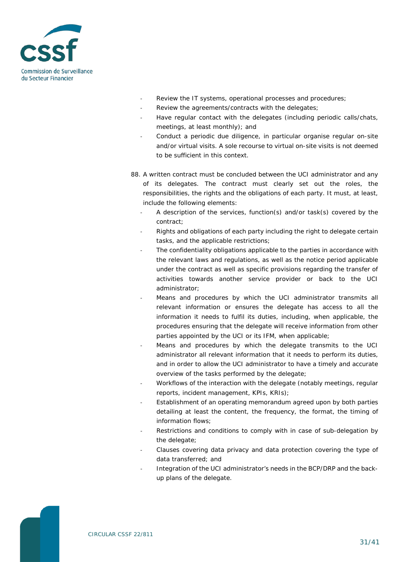

- Review the IT systems, operational processes and procedures;
- Review the agreements/contracts with the delegates;
- Have regular contact with the delegates (including periodic calls/chats, meetings, at least monthly); and
- Conduct a periodic due diligence, in particular organise regular on-site and/or virtual visits. A sole recourse to virtual on-site visits is not deemed to be sufficient in this context.
- 88. A written contract must be concluded between the UCI administrator and any of its delegates. The contract must clearly set out the roles, the responsibilities, the rights and the obligations of each party. It must, at least, include the following elements:
	- A description of the services, function(s) and/or task(s) covered by the contract;
	- Rights and obligations of each party including the right to delegate certain tasks, and the applicable restrictions;
	- The confidentiality obligations applicable to the parties in accordance with the relevant laws and regulations, as well as the notice period applicable under the contract as well as specific provisions regarding the transfer of activities towards another service provider or back to the UCI administrator;
	- Means and procedures by which the UCI administrator transmits all relevant information or ensures the delegate has access to all the information it needs to fulfil its duties, including, when applicable, the procedures ensuring that the delegate will receive information from other parties appointed by the UCI or its IFM, when applicable;
	- Means and procedures by which the delegate transmits to the UCI administrator all relevant information that it needs to perform its duties, and in order to allow the UCI administrator to have a timely and accurate overview of the tasks performed by the delegate;
	- Workflows of the interaction with the delegate (notably meetings, regular reports, incident management, KPIs, KRIs);
	- Establishment of an operating memorandum agreed upon by both parties detailing at least the content, the frequency, the format, the timing of information flows;
	- Restrictions and conditions to comply with in case of sub-delegation by the delegate;
	- Clauses covering data privacy and data protection covering the type of data transferred; and
	- Integration of the UCI administrator's needs in the BCP/DRP and the backup plans of the delegate.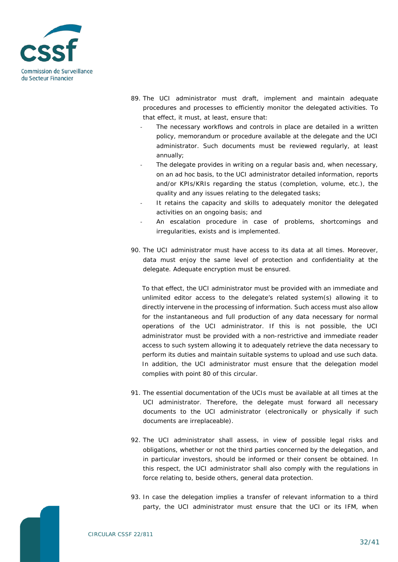

- 89. The UCI administrator must draft, implement and maintain adequate procedures and processes to efficiently monitor the delegated activities. To that effect, it must, at least, ensure that:
	- The necessary workflows and controls in place are detailed in a written policy, memorandum or procedure available at the delegate and the UCI administrator. Such documents must be reviewed regularly, at least annually;
	- The delegate provides in writing on a regular basis and, when necessary, on an ad hoc basis, to the UCI administrator detailed information, reports and/or KPIs/KRIs regarding the status (completion, volume, etc.), the quality and any issues relating to the delegated tasks;
	- It retains the capacity and skills to adequately monitor the delegated activities on an ongoing basis; and
	- An escalation procedure in case of problems, shortcomings and irregularities, exists and is implemented.
- 90. The UCI administrator must have access to its data at all times. Moreover, data must enjoy the same level of protection and confidentiality at the delegate. Adequate encryption must be ensured.

To that effect, the UCI administrator must be provided with an immediate and unlimited editor access to the delegate's related system(s) allowing it to directly intervene in the processing of information. Such access must also allow for the instantaneous and full production of any data necessary for normal operations of the UCI administrator. If this is not possible, the UCI administrator must be provided with a non-restrictive and immediate reader access to such system allowing it to adequately retrieve the data necessary to perform its duties and maintain suitable systems to upload and use such data. In addition, the UCI administrator must ensure that the delegation model complies with point 80 of this circular.

- 91. The essential documentation of the UCIs must be available at all times at the UCI administrator. Therefore, the delegate must forward all necessary documents to the UCI administrator (electronically or physically if such documents are irreplaceable).
- 92. The UCI administrator shall assess, in view of possible legal risks and obligations, whether or not the third parties concerned by the delegation, and in particular investors, should be informed or their consent be obtained. In this respect, the UCI administrator shall also comply with the regulations in force relating to, beside others, general data protection.
- 93. In case the delegation implies a transfer of relevant information to a third party, the UCI administrator must ensure that the UCI or its IFM, when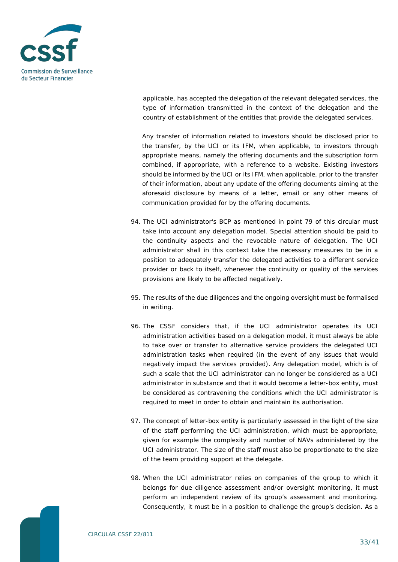

applicable, has accepted the delegation of the relevant delegated services, the type of information transmitted in the context of the delegation and the country of establishment of the entities that provide the delegated services.

Any transfer of information related to investors should be disclosed prior to the transfer, by the UCI or its IFM, when applicable, to investors through appropriate means, namely the offering documents and the subscription form combined, if appropriate, with a reference to a website. Existing investors should be informed by the UCI or its IFM, when applicable, prior to the transfer of their information, about any update of the offering documents aiming at the aforesaid disclosure by means of a letter, email or any other means of communication provided for by the offering documents.

- 94. The UCI administrator's BCP as mentioned in point 79 of this circular must take into account any delegation model. Special attention should be paid to the continuity aspects and the revocable nature of delegation. The UCI administrator shall in this context take the necessary measures to be in a position to adequately transfer the delegated activities to a different service provider or back to itself, whenever the continuity or quality of the services provisions are likely to be affected negatively.
- 95. The results of the due diligences and the ongoing oversight must be formalised in writing.
- 96. The CSSF considers that, if the UCI administrator operates its UCI administration activities based on a delegation model, it must always be able to take over or transfer to alternative service providers the delegated UCI administration tasks when required (in the event of any issues that would negatively impact the services provided). Any delegation model, which is of such a scale that the UCI administrator can no longer be considered as a UCI administrator in substance and that it would become a letter-box entity, must be considered as contravening the conditions which the UCI administrator is required to meet in order to obtain and maintain its authorisation.
- 97. The concept of letter-box entity is particularly assessed in the light of the size of the staff performing the UCI administration, which must be appropriate, given for example the complexity and number of NAVs administered by the UCI administrator. The size of the staff must also be proportionate to the size of the team providing support at the delegate.
- 98. When the UCI administrator relies on companies of the group to which it belongs for due diligence assessment and/or oversight monitoring, it must perform an independent review of its group's assessment and monitoring. Consequently, it must be in a position to challenge the group's decision. As a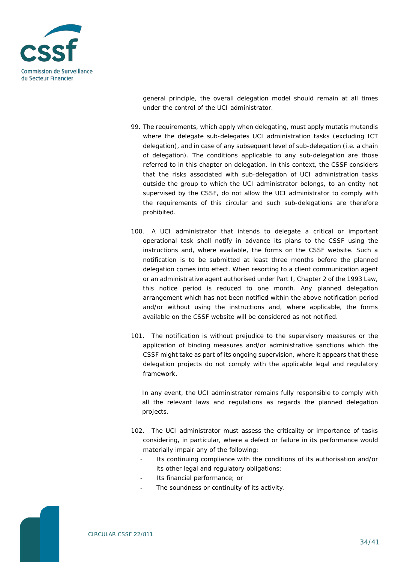

general principle, the overall delegation model should remain at all times under the control of the UCI administrator.

- 99. The requirements, which apply when delegating, must apply mutatis mutandis where the delegate sub-delegates UCI administration tasks (excluding ICT delegation), and in case of any subsequent level of sub-delegation (i.e. a chain of delegation). The conditions applicable to any sub-delegation are those referred to in this chapter on delegation. In this context, the CSSF considers that the risks associated with sub-delegation of UCI administration tasks outside the group to which the UCI administrator belongs, to an entity not supervised by the CSSF, do not allow the UCI administrator to comply with the requirements of this circular and such sub-delegations are therefore prohibited.
- 100. A UCI administrator that intends to delegate a critical or important operational task shall notify in advance its plans to the CSSF using the instructions and, where available, the forms on the CSSF website. Such a notification is to be submitted at least three months before the planned delegation comes into effect. When resorting to a client communication agent or an administrative agent authorised under Part I, Chapter 2 of the 1993 Law, this notice period is reduced to one month. Any planned delegation arrangement which has not been notified within the above notification period and/or without using the instructions and, where applicable, the forms available on the CSSF website will be considered as not notified.
- 101. The notification is without prejudice to the supervisory measures or the application of binding measures and/or administrative sanctions which the CSSF might take as part of its ongoing supervision, where it appears that these delegation projects do not comply with the applicable legal and regulatory framework.

In any event, the UCI administrator remains fully responsible to comply with all the relevant laws and regulations as regards the planned delegation projects.

- 102. The UCI administrator must assess the criticality or importance of tasks considering, in particular, where a defect or failure in its performance would materially impair any of the following:
	- Its continuing compliance with the conditions of its authorisation and/or its other legal and regulatory obligations;
	- Its financial performance; or
	- The soundness or continuity of its activity.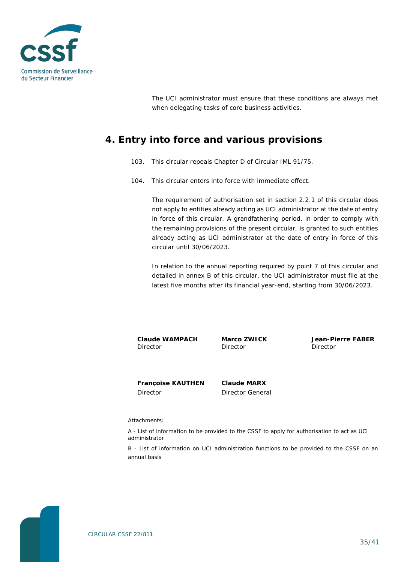

The UCI administrator must ensure that these conditions are always met when delegating tasks of core business activities.

# <span id="page-34-0"></span>**4. Entry into force and various provisions**

- 103. This circular repeals Chapter D of Circular IML 91/75.
- 104. This circular enters into force with immediate effect.

The requirement of authorisation set in section 2.2.1 of this circular does not apply to entities already acting as UCI administrator at the date of entry in force of this circular. A grandfathering period, in order to comply with the remaining provisions of the present circular, is granted to such entities already acting as UCI administrator at the date of entry in force of this circular until 30/06/2023.

In relation to the annual reporting required by point 7 of this circular and detailed in annex B of this circular, the UCI administrator must file at the latest five months after its financial year-end, starting from 30/06/2023.

**Claude WAMPACH Director** 

**Marco ZWICK** Director

**Jean-Pierre FABER** Director

**Françoise KAUTHEN** Director

**Claude MARX** Director General

Attachments:

A - List of information to be provided to the CSSF to apply for authorisation to act as UCI administrator

B - List of information on UCI administration functions to be provided to the CSSF on an annual basis

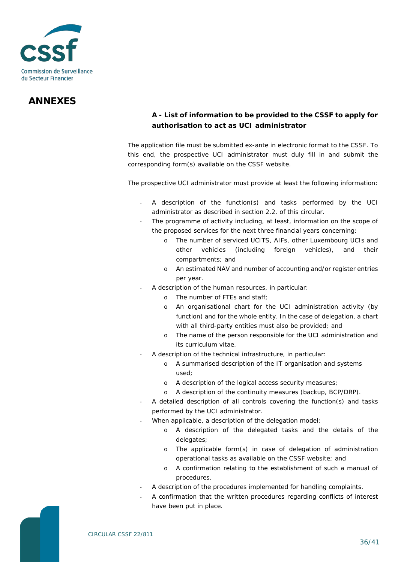

# **ANNEXES**

### <span id="page-35-0"></span>**A - List of information to be provided to the CSSF to apply for authorisation to act as UCI administrator**

The application file must be submitted ex-ante in electronic format to the CSSF. To this end, the prospective UCI administrator must duly fill in and submit the corresponding form(s) available on the CSSF website.

The prospective UCI administrator must provide at least the following information:

- A description of the function(s) and tasks performed by the UCI administrator as described in section 2.2. of this circular.
- The programme of activity including, at least, information on the scope of the proposed services for the next three financial years concerning:
	- o The number of serviced UCITS, AIFs, other Luxembourg UCIs and other vehicles (including foreign vehicles), and their compartments; and
	- o An estimated NAV and number of accounting and/or register entries per year.
- A description of the human resources, in particular:
	- o The number of FTEs and staff;
	- o An organisational chart for the UCI administration activity (by function) and for the whole entity. In the case of delegation, a chart with all third-party entities must also be provided; and
	- o The name of the person responsible for the UCI administration and its curriculum vitae.
- A description of the technical infrastructure, in particular:
	- o A summarised description of the IT organisation and systems used;
	- o A description of the logical access security measures;
	- o A description of the continuity measures (backup, BCP/DRP).
- A detailed description of all controls covering the function(s) and tasks performed by the UCI administrator.
- When applicable, a description of the delegation model:
	- o A description of the delegated tasks and the details of the delegates;
	- o The applicable form(s) in case of delegation of administration operational tasks as available on the CSSF website; and
	- o A confirmation relating to the establishment of such a manual of procedures.
- A description of the procedures implemented for handling complaints.
- A confirmation that the written procedures regarding conflicts of interest have been put in place.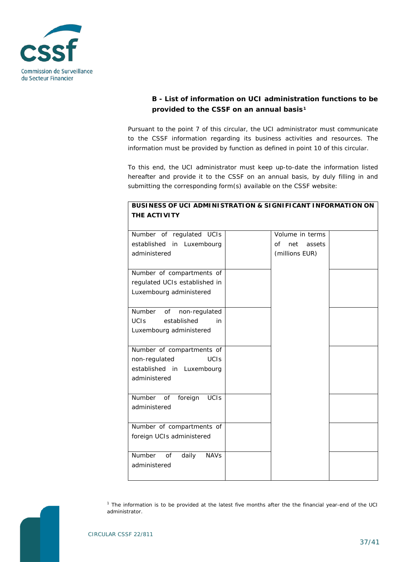

### <span id="page-36-0"></span>**B - List of information on UCI administration functions to be provided to the CSSF on an annual basis[1](#page-36-1)**

Pursuant to the point 7 of this circular, the UCI administrator must communicate to the CSSF information regarding its business activities and resources. The information must be provided by function as defined in point 10 of this circular.

To this end, the UCI administrator must keep up-to-date the information listed hereafter and provide it to the CSSF on an annual basis, by duly filling in and submitting the corresponding form(s) available on the CSSF website:

| Number of regulated UCIs               | Volume in terms     |  |
|----------------------------------------|---------------------|--|
| established<br>in Luxembourg           | net<br>of<br>assets |  |
| administered                           | (millions EUR)      |  |
|                                        |                     |  |
| Number of compartments of              |                     |  |
| regulated UCIs established in          |                     |  |
| Luxembourg administered                |                     |  |
|                                        |                     |  |
| Number<br>of<br>non-regulated          |                     |  |
| <b>UCIS</b><br>established<br>in       |                     |  |
| Luxembourg administered                |                     |  |
|                                        |                     |  |
| Number of compartments of              |                     |  |
| <b>UCIS</b><br>non-regulated           |                     |  |
| established in Luxembourg              |                     |  |
| administered                           |                     |  |
|                                        |                     |  |
| Number<br><b>UCIS</b><br>of<br>foreign |                     |  |
| administered                           |                     |  |
|                                        |                     |  |
| Number of compartments of              |                     |  |
| foreign UCIs administered              |                     |  |
|                                        |                     |  |
| Number<br>of<br>daily<br><b>NAVs</b>   |                     |  |
| administered                           |                     |  |
|                                        |                     |  |

#### **BUSINESS OF UCI ADMINISTRATION & SIGNIFICANT INFORMATION ON THE ACTIVITY**

<span id="page-36-1"></span>*<sup>1</sup> The information is to be provided at the latest five months after the the financial year-end of the UCI administrator.*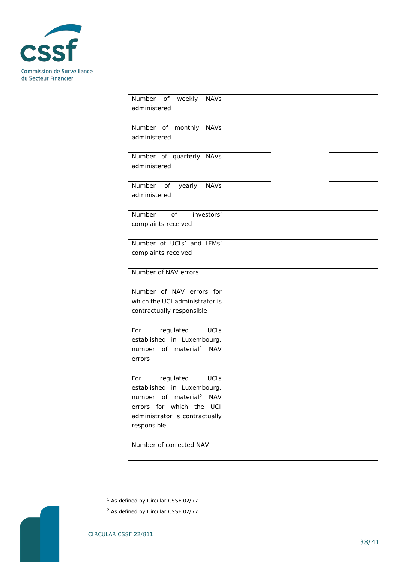

| Number of weekly<br><b>NAVs</b><br>administered                                                                                                                                                |  |  |
|------------------------------------------------------------------------------------------------------------------------------------------------------------------------------------------------|--|--|
| Number of monthly NAVs<br>administered                                                                                                                                                         |  |  |
| Number of quarterly NAVs<br>administered                                                                                                                                                       |  |  |
| Number of yearly<br><b>NAVs</b><br>administered                                                                                                                                                |  |  |
| Number<br>investors'<br>of<br>complaints received                                                                                                                                              |  |  |
| Number of UCIs' and IFMs'<br>complaints received                                                                                                                                               |  |  |
| Number of NAV errors                                                                                                                                                                           |  |  |
| Number of NAV errors for<br>which the UCI administrator is<br>contractually responsible                                                                                                        |  |  |
| <b>UCIS</b><br>For<br>regulated<br>established in Luxembourg,<br>number of material <sup>1</sup><br><b>NAV</b><br>errors                                                                       |  |  |
| regulated<br><b>UCIS</b><br>For<br>established in Luxembourg,<br>number of material <sup>2</sup><br><b>NAV</b><br>errors for which the<br>UCI<br>administrator is contractually<br>responsible |  |  |
| Number of corrected NAV                                                                                                                                                                        |  |  |

*<sup>1</sup> As defined by Circular CSSF 02/77*

<span id="page-37-1"></span><span id="page-37-0"></span>*<sup>2</sup> As defined by Circular CSSF 02/77*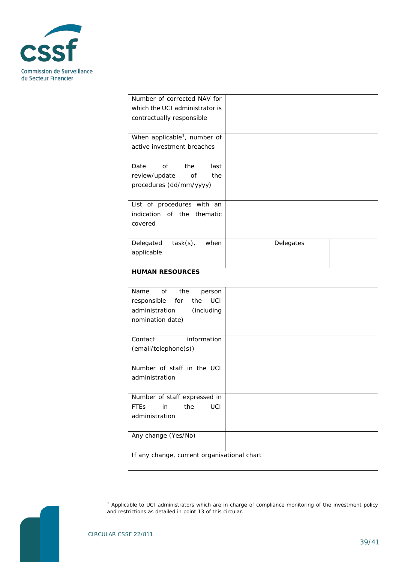

| Number of corrected NAV for              |                                             |  |  |  |
|------------------------------------------|---------------------------------------------|--|--|--|
| which the UCI administrator is           |                                             |  |  |  |
| contractually responsible                |                                             |  |  |  |
|                                          |                                             |  |  |  |
|                                          |                                             |  |  |  |
| When applicable <sup>1</sup> , number of |                                             |  |  |  |
| active investment breaches               |                                             |  |  |  |
|                                          |                                             |  |  |  |
| Date<br>of<br>the<br>last                |                                             |  |  |  |
| review/update<br>of<br>the               |                                             |  |  |  |
|                                          |                                             |  |  |  |
| procedures (dd/mm/yyyy)                  |                                             |  |  |  |
|                                          |                                             |  |  |  |
| List of procedures with an               |                                             |  |  |  |
| indication of the thematic               |                                             |  |  |  |
| covered                                  |                                             |  |  |  |
|                                          |                                             |  |  |  |
|                                          |                                             |  |  |  |
| $task(s)$ ,<br>Delegated<br>when         | Delegates                                   |  |  |  |
| applicable                               |                                             |  |  |  |
|                                          |                                             |  |  |  |
| <b>HUMAN RESOURCES</b>                   |                                             |  |  |  |
|                                          |                                             |  |  |  |
| Name<br>of<br>the<br>person              |                                             |  |  |  |
| for<br>UCI                               |                                             |  |  |  |
| responsible<br>the                       |                                             |  |  |  |
| administration<br>(including             |                                             |  |  |  |
| nomination date)                         |                                             |  |  |  |
|                                          |                                             |  |  |  |
| information<br>Contact                   |                                             |  |  |  |
| (email/telephone(s))                     |                                             |  |  |  |
|                                          |                                             |  |  |  |
|                                          |                                             |  |  |  |
| Number of staff in the UCI               |                                             |  |  |  |
| administration                           |                                             |  |  |  |
|                                          |                                             |  |  |  |
| Number of staff expressed in             |                                             |  |  |  |
| the<br>UCI<br><b>FTEs</b><br>in          |                                             |  |  |  |
| administration                           |                                             |  |  |  |
|                                          |                                             |  |  |  |
|                                          |                                             |  |  |  |
| Any change (Yes/No)                      |                                             |  |  |  |
|                                          |                                             |  |  |  |
|                                          | If any change, current organisational chart |  |  |  |
|                                          |                                             |  |  |  |
|                                          |                                             |  |  |  |

<span id="page-38-0"></span>

*<sup>1</sup> Applicable to UCI administrators which are in charge of compliance monitoring of the investment policy and restrictions as detailed in point 13 of this circular.*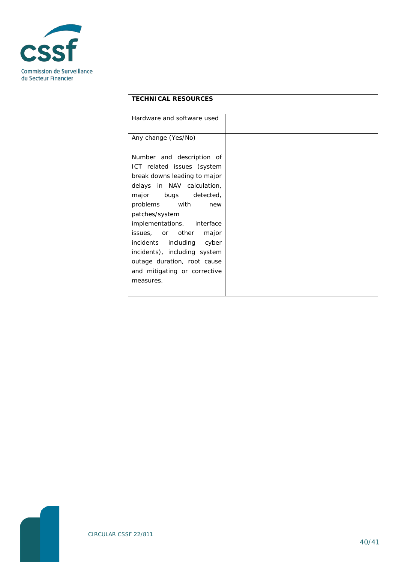

| <b>TECHNICAL RESOURCES</b>   |  |  |
|------------------------------|--|--|
|                              |  |  |
| Hardware and software used   |  |  |
|                              |  |  |
| Any change (Yes/No)          |  |  |
|                              |  |  |
| Number and description of    |  |  |
| ICT related issues (system   |  |  |
| break downs leading to major |  |  |
| delays in NAV calculation,   |  |  |
| major bugs detected,         |  |  |
| problems with<br>new         |  |  |
| patches/system               |  |  |
| implementations, interface   |  |  |
| issues, or other major       |  |  |
| incidents including cyber    |  |  |
| incidents), including system |  |  |
| outage duration, root cause  |  |  |
| and mitigating or corrective |  |  |
| measures.                    |  |  |
|                              |  |  |
|                              |  |  |